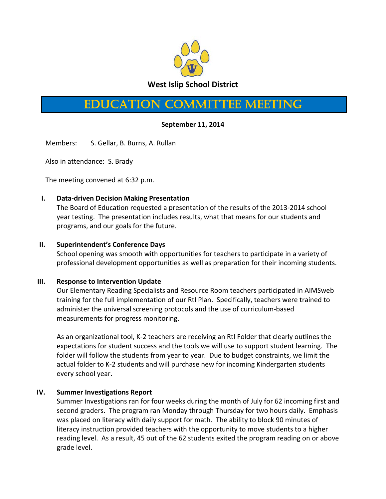

# Education Committee Meeting

## **September 11, 2014**

Members: S. Gellar, B. Burns, A. Rullan

Also in attendance: S. Brady

The meeting convened at 6:32 p.m.

### **I. Data-driven Decision Making Presentation**

The Board of Education requested a presentation of the results of the 2013-2014 school year testing. The presentation includes results, what that means for our students and programs, and our goals for the future.

#### **II. Superintendent's Conference Days**

School opening was smooth with opportunities for teachers to participate in a variety of professional development opportunities as well as preparation for their incoming students.

### **III. Response to Intervention Update**

Our Elementary Reading Specialists and Resource Room teachers participated in AIMSweb training for the full implementation of our RtI Plan. Specifically, teachers were trained to administer the universal screening protocols and the use of curriculum-based measurements for progress monitoring.

As an organizational tool, K-2 teachers are receiving an RtI Folder that clearly outlines the expectations for student success and the tools we will use to support student learning. The folder will follow the students from year to year. Due to budget constraints, we limit the actual folder to K-2 students and will purchase new for incoming Kindergarten students every school year.

### **IV. Summer Investigations Report**

Summer Investigations ran for four weeks during the month of July for 62 incoming first and second graders. The program ran Monday through Thursday for two hours daily. Emphasis was placed on literacy with daily support for math. The ability to block 90 minutes of literacy instruction provided teachers with the opportunity to move students to a higher reading level. As a result, 45 out of the 62 students exited the program reading on or above grade level.